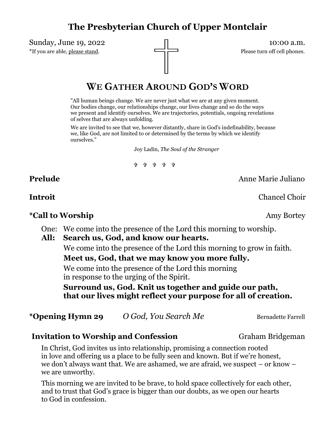# **The Presbyterian Church of Upper Montclair**

Sunday, June 19, 2022  $\Box$ \*If you are able, please stand.

# **WE GATHER AROUND GOD'S WORD**

"All human beings change. We are never just what we are at any given moment. Our bodies change, our relationships change, our lives change and so do the ways we present and identify ourselves. We are trajectories, potentials, ongoing revelations of selves that are always unfolding.

We are invited to see that we, however distantly, share in God's indefinability, because we, like God, are not limited to or determined by the terms by which we identify ourselves."

Joy Ladin, *The Soul of the Stranger*

#### ቁ ቁ ቁ ቁ

**Prelude** Anne Marie Juliano

**Introit** Chancel Choir

#### \*Call to Worship **Amy Bortey Amy Bortey**

One: We come into the presence of the Lord this morning to worship.

We come into the presence of the Lord this morning to grow in faith.

**Meet us, God, that we may know you more fully.**

We come into the presence of the Lord this morning in response to the urging of the Spirit.

**Surround us, God. Knit us together and guide our path, that our lives might reflect your purpose for all of creation.** 

\***Opening Hymn 29** *O God, You Search Me* Bernadette Farrell

#### **Invitation to Worship and Confession Graham Bridgeman**

In Christ, God invites us into relationship, promising a connection rooted in love and offering us a place to be fully seen and known. But if we're honest, we don't always want that. We are ashamed, we are afraid, we suspect – or know – we are unworthy.

This morning we are invited to be brave, to hold space collectively for each other, and to trust that God's grace is bigger than our doubts, as we open our hearts to God in confession.

**All: Search us, God, and know our hearts.**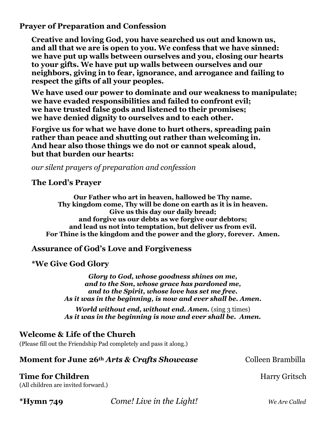**Prayer of Preparation and Confession**

**Creative and loving God, you have searched us out and known us, and all that we are is open to you. We confess that we have sinned: we have put up walls between ourselves and you, closing our hearts to your gifts. We have put up walls between ourselves and our neighbors, giving in to fear, ignorance, and arrogance and failing to respect the gifts of all your peoples.** 

**We have used our power to dominate and our weakness to manipulate; we have evaded responsibilities and failed to confront evil; we have trusted false gods and listened to their promises; we have denied dignity to ourselves and to each other.**

**Forgive us for what we have done to hurt others, spreading pain rather than peace and shutting out rather than welcoming in. And hear also those things we do not or cannot speak aloud, but that burden our hearts:**

*our silent prayers of preparation and confession*

#### **The Lord's Prayer**

**Our Father who art in heaven, hallowed be Thy name. Thy kingdom come, Thy will be done on earth as it is in heaven. Give us this day our daily bread; and forgive us our debts as we forgive our debtors; and lead us not into temptation, but deliver us from evil. For Thine is the kingdom and the power and the glory, forever. Amen.**

## **Assurance of God's Love and Forgiveness**

#### **\*We Give God Glory**

*Glory to God, whose goodness shines on me, and to the Son, whose grace has pardoned me, and to the Spirit, whose love has set me free. As it was in the beginning, is now and ever shall be. Amen.*

*World without end, without end. Amen.* (sing 3 times) *As it was in the beginning is now and ever shall be. Amen.*

## **Welcome & Life of the Church**

(Please fill out the Friendship Pad completely and pass it along.)

## **Moment for June 26<sup>th</sup>** *Arts & Crafts Showcase* Colleen Brambilla

## **Time for Children Harry Gritsch**

(All children are invited forward.)

**\*Hymn 749** *Come! Live in the Light! We Are Called*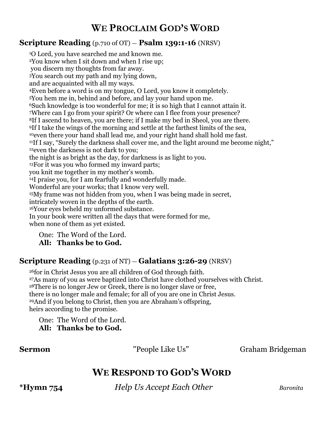# **WE PROCLAIM GOD'S WORD**

### **Scripture Reading** (p.710 of OT) — **Psalm 139:1-16** (NRSV)

O Lord, you have searched me and known me. You know when I sit down and when I rise up; you discern my thoughts from far away. You search out my path and my lying down, and are acquainted with all my ways. Even before a word is on my tongue, O Lord, you know it completely. You hem me in, behind and before, and lay your hand upon me. Such knowledge is too wonderful for me; it is so high that I cannot attain it. Where can I go from your spirit? Or where can I flee from your presence? If I ascend to heaven, you are there; if I make my bed in Sheol, you are there. If I take the wings of the morning and settle at the farthest limits of the sea, even there your hand shall lead me, and your right hand shall hold me fast. <sup>11</sup>If I say, "Surely the darkness shall cover me, and the light around me become night," even the darkness is not dark to you; the night is as bright as the day, for darkness is as light to you. For it was you who formed my inward parts; you knit me together in my mother's womb. I praise you, for I am fearfully and wonderfully made. Wonderful are your works; that I know very well. My frame was not hidden from you, when I was being made in secret, intricately woven in the depths of the earth. Your eyes beheld my unformed substance. In your book were written all the days that were formed for me, when none of them as yet existed.

One: The Word of the Lord.

### **All: Thanks be to God.**

#### **Scripture Reading** (p.231 of NT) — **Galatians 3:26-29** (NRSV)

for in Christ Jesus you are all children of God through faith. As many of you as were baptized into Christ have clothed yourselves with Christ. There is no longer Jew or Greek, there is no longer slave or free, there is no longer male and female; for all of you are one in Christ Jesus. And if you belong to Christ, then you are Abraham's offspring, heirs according to the promise.

One: The Word of the Lord. **All: Thanks be to God.** 

**Sermon People Like Us''** Graham Bridgeman

# **WE RESPOND TO GOD'S WORD**

**\*Hymn 754** *Help Us Accept Each Other Baronita*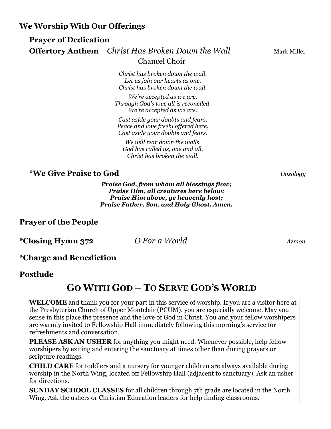**We Worship With Our Offerings**

## **Prayer of Dedication Offertory Anthem** *Christ Has Broken Down the Wall* Mark Miller Chancel Choir

*Christ has broken down the wall. Let us join our hearts as one. Christ has broken down the wall.*

*We're accepted as we are. Through God's love all is reconciled. We're accepted as we are.*

*Cast aside your doubts and fears. Peace and love freely offered here. Cast aside your doubts and fears.*

*We will tear down the walls. God has called us, one and all. Christ has broken the wall.*

## **\*We Give Praise to God** *Doxology*

*Praise God, from whom all blessings flow; Praise Him, all creatures here below; Praise Him above, ye heavenly host; Praise Father, Son, and Holy Ghost. Amen.*

## **Prayer of the People**

**\*Closing Hymn 372** *O For a World Azmon*

## **\*Charge and Benediction**

#### **Postlude**

# **GO WITH GOD – TO SERVE GOD'S WORLD**

**WELCOME** and thank you for your part in this service of worship. If you are a visitor here at the Presbyterian Church of Upper Montclair (PCUM), you are especially welcome. May you sense in this place the presence and the love of God in Christ. You and your fellow worshipers are warmly invited to Fellowship Hall immediately following this morning's service for refreshments and conversation.

**PLEASE ASK AN USHER** for anything you might need. Whenever possible, help fellow worshipers by exiting and entering the sanctuary at times other than during prayers or scripture readings.

**CHILD CARE** for toddlers and a nursery for younger children are always available during worship in the North Wing, located off Fellowship Hall (adjacent to sanctuary). Ask an usher for directions.

**SUNDAY SCHOOL CLASSES** for all children through 7th grade are located in the North Wing. Ask the ushers or Christian Education leaders for help finding classrooms.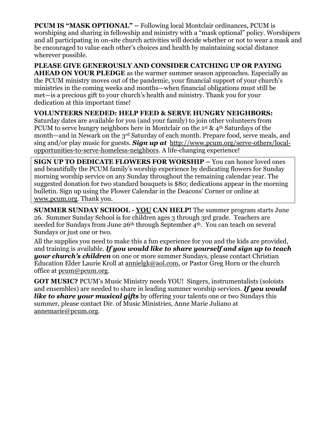**PCUM IS "MASK OPTIONAL"** – Following local Montclair ordinances, PCUM is worshiping and sharing in fellowship and ministry with a "mask optional" policy. Worshipers and all participating in on-site church activities will decide whether or not to wear a mask and be encouraged to value each other's choices and health by maintaining social distance wherever possible.

**PLEASE GIVE GENEROUSLY AND CONSIDER CATCHING UP OR PAYING AHEAD ON YOUR PLEDGE** as the warmer summer season approaches. Especially as the PCUM ministry moves out of the pandemic, your financial support of your church's ministries in the coming weeks and months—when financial obligations must still be met—is a precious gift to your church's health and ministry. Thank you for your dedication at this important time!

#### **VOLUNTEERS NEEDED: HELP FEED & SERVE HUNGRY NEIGHBORS:**

Saturday dates are available for you (and your family) to join other volunteers from PCUM to serve hungry neighbors here in Montclair on the 1<sup>st</sup> & 4<sup>th</sup> Saturdays of the month—and in Newark on the 3rd Saturday of each month. Prepare food, serve meals, and sing and/or play music for guests. *Sign up at* [http://www.pcum.org/serve-others/local](http://www.pcum.org/serve-others/local-opportunities-to-serve-homeless-neighbors)[opportunities-to-serve-homeless-neighbors.](http://www.pcum.org/serve-others/local-opportunities-to-serve-homeless-neighbors) A life-changing experience!

**SIGN UP TO DEDICATE FLOWERS FOR WORSHIP –** You can honor loved ones and beautifully the PCUM family's worship experience by dedicating flowers for Sunday morning worship service on any Sunday throughout the remaining calendar year. The suggested donation for two standard bouquets is \$80; dedications appear in the morning bulletin. Sign up using the Flower Calendar in the Deacons' Corner or online at [www.pcum.org.](http://www.pcum.org/) Thank you.

**SUMMER SUNDAY SCHOOL - YOU CAN HELP!** The summer program starts June 26. Summer Sunday School is for children ages 3 through 3rd grade. Teachers are needed for Sundays from June 26<sup>th</sup> through September 4<sup>th</sup>. You can teach on several Sundays or just one or two.

All the supplies you need to make this a fun experience for you and the kids are provided, and training is available. *If you would like to share yourself and sign up to teach your church's children* on one or more summer Sundays, please contact Christian Education Elder Laurie Kroll at [annielgk@aol.com,](mailto:annielgk@aol.com) or Pastor Greg Horn or the church office at [pcum@pcum.org.](mailto:pcum@pcum.org)

**GOT MUSIC?** PCUM's Music Ministry needs YOU! Singers, instrumentalists (soloists and ensembles) are needed to share in leading summer worship services. *If you would like to share your musical gifts* by offering your talents one or two Sundays this summer, please contact Dir. of Music Ministries, Anne Marie Juliano at [annemarie@pcum.org.](mailto:annemarie@pcum.org)